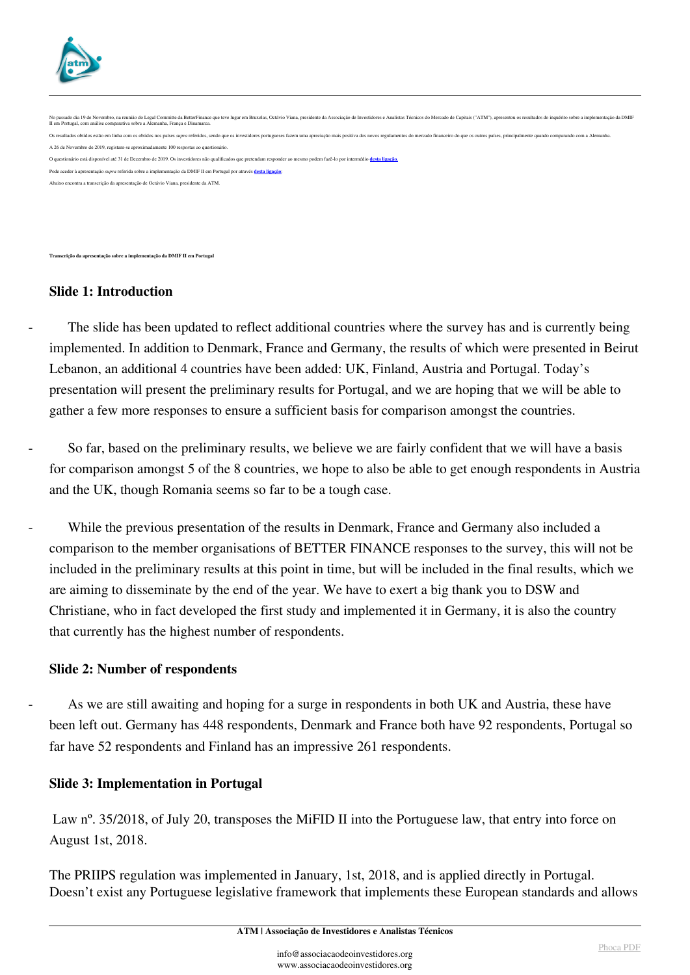

No passado dia 19 de Novembro, na reunidio do Legal Committe da BetterFinance que teve lugar em Bruxelas, Octávio Viana, presidente da Associação de Investidores e Analistas Técnicos do Mercado de Capitais ("ATM"), apresen ltados obtidos estão em linha com os obtidos nos países supra referidos, sendo que os investidores portugueses fazem uma apreciação mais positiva dos novos regulamentos do mercado financeiro do que os outros países, princi A 26 de Novembro de 2019, registam-se aproximadamente 100 respostas ao questionário. O questionário está disponível até 31 de Dezembro de 2019. Os investidores não qualificados que pretendam responder ao mesmo podem fazê-lo por intermédio **[desta ligação](https://www.surveymonkey.com/r/3HWDQVC)**[.](https://www.surveymonkey.com/r/3HWDQVC) Pode aceder à apresentação *supra* referida sobre a implementação da DMIF II em Portugal por através **[desta ligação](http://associacaodeinvestidores.org/estudosepropostas/analises/mifidii_implementation_survey/MiFID_II_Implementation_Study_Presentation_Portugal.pdf)**: Abaixo encontra a transcrição da apresentação de Octávio Viana, presidente da ATM.

**Transcrição da apresentação sobre a implementação da DMIF II em Portugal**

### **Slide 1: Introduction**

The slide has been updated to reflect additional countries where the survey has and is currently being implemented. In addition to Denmark, France and Germany, the results of which were presented in Beirut Lebanon, an additional 4 countries have been added: UK, Finland, Austria and Portugal. Today's presentation will present the preliminary results for Portugal, and we are hoping that we will be able to gather a few more responses to ensure a sufficient basis for comparison amongst the countries.

So far, based on the preliminary results, we believe we are fairly confident that we will have a basis for comparison amongst 5 of the 8 countries, we hope to also be able to get enough respondents in Austria and the UK, though Romania seems so far to be a tough case.

While the previous presentation of the results in Denmark, France and Germany also included a comparison to the member organisations of BETTER FINANCE responses to the survey, this will not be included in the preliminary results at this point in time, but will be included in the final results, which we are aiming to disseminate by the end of the year. We have to exert a big thank you to DSW and Christiane, who in fact developed the first study and implemented it in Germany, it is also the country that currently has the highest number of respondents.

#### **Slide 2: Number of respondents**

As we are still awaiting and hoping for a surge in respondents in both UK and Austria, these have been left out. Germany has 448 respondents, Denmark and France both have 92 respondents, Portugal so far have 52 respondents and Finland has an impressive 261 respondents.

#### **Slide 3: Implementation in Portugal**

Law n<sup>o</sup>. 35/2018, of July 20, transposes the MiFID II into the Portuguese law, that entry into force on August 1st, 2018.

The PRIIPS regulation was implemented in January, 1st, 2018, and is applied directly in Portugal. Doesn't exist any Portuguese legislative framework that implements these European standards and allows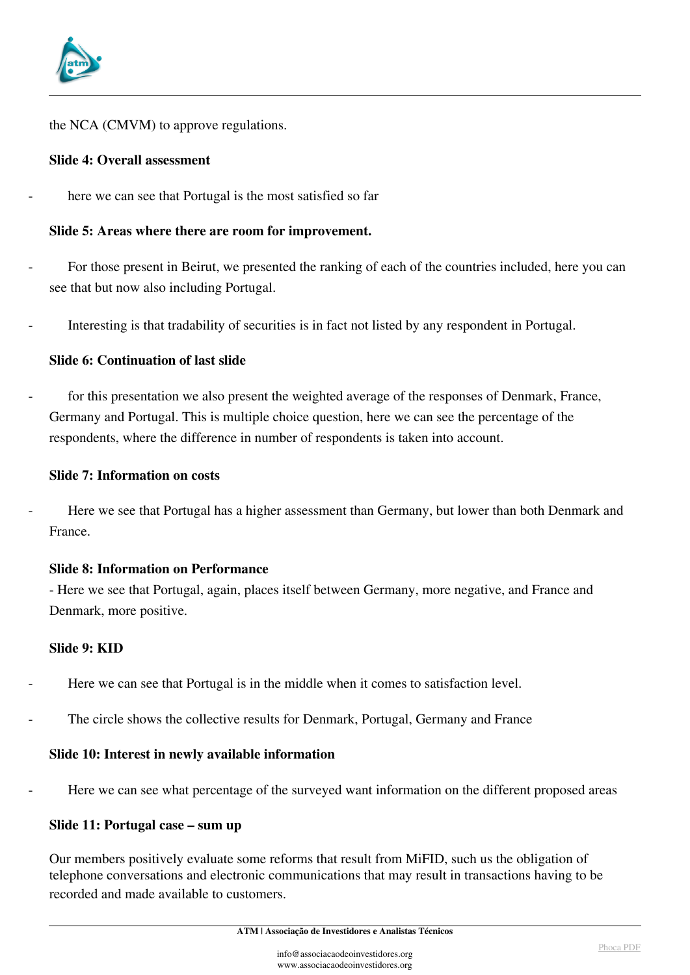

the NCA (CMVM) to approve regulations.

## **Slide 4: Overall assessment**

here we can see that Portugal is the most satisfied so far

## **Slide 5: Areas where there are room for improvement.**

- For those present in Beirut, we presented the ranking of each of the countries included, here you can see that but now also including Portugal.
- Interesting is that tradability of securities is in fact not listed by any respondent in Portugal.

## **Slide 6: Continuation of last slide**

for this presentation we also present the weighted average of the responses of Denmark, France, Germany and Portugal. This is multiple choice question, here we can see the percentage of the respondents, where the difference in number of respondents is taken into account.

### **Slide 7: Information on costs**

Here we see that Portugal has a higher assessment than Germany, but lower than both Denmark and France.

### **Slide 8: Information on Performance**

- Here we see that Portugal, again, places itself between Germany, more negative, and France and Denmark, more positive.

### **Slide 9: KID**

- Here we can see that Portugal is in the middle when it comes to satisfaction level.
- The circle shows the collective results for Denmark, Portugal, Germany and France

# **Slide 10: Interest in newly available information**

Here we can see what percentage of the surveyed want information on the different proposed areas

# **Slide 11: Portugal case – sum up**

Our members positively evaluate some reforms that result from MiFID, such us the obligation of telephone conversations and electronic communications that may result in transactions having to be recorded and made available to customers.